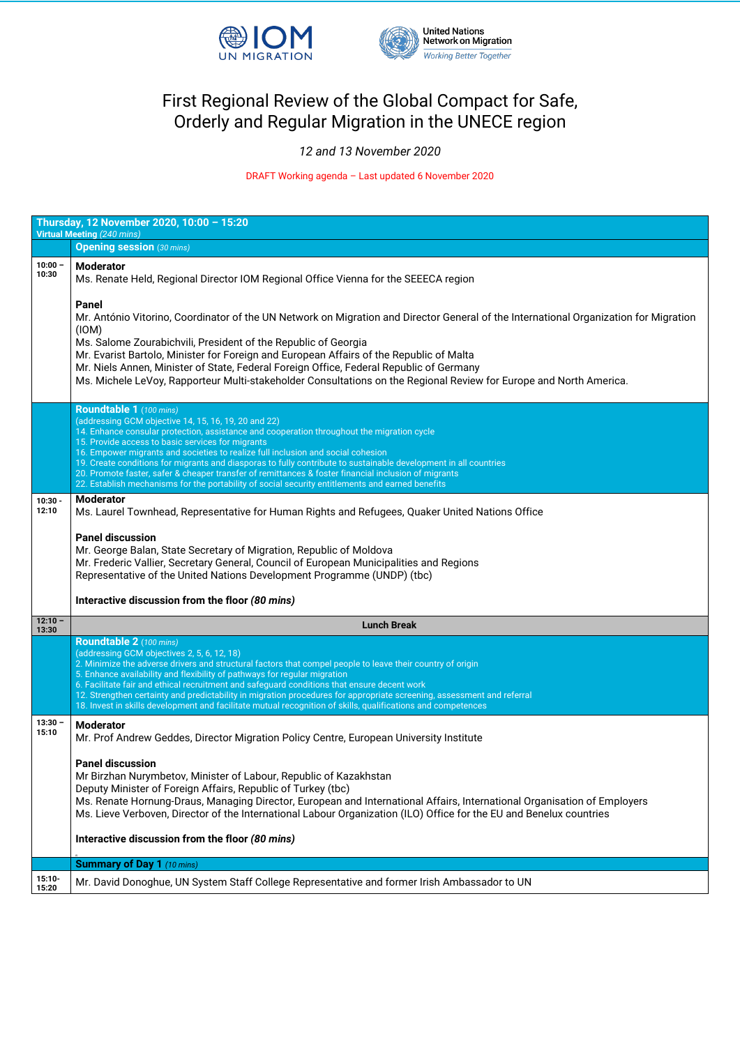



## First Regional Review of the Global Compact for Safe, Orderly and Regular Migration in the UNECE region

*12 and 13 November 2020*

DRAFT Working agenda – Last updated 6 November 2020

| Thursday, 12 November 2020, 10:00 - 15:20 |                                                                                                                                                                                                                                                                                                                                                                                                                                                                                                                                                                                                                                                        |  |
|-------------------------------------------|--------------------------------------------------------------------------------------------------------------------------------------------------------------------------------------------------------------------------------------------------------------------------------------------------------------------------------------------------------------------------------------------------------------------------------------------------------------------------------------------------------------------------------------------------------------------------------------------------------------------------------------------------------|--|
| <b>Virtual Meeting (240 mins)</b>         |                                                                                                                                                                                                                                                                                                                                                                                                                                                                                                                                                                                                                                                        |  |
|                                           | <b>Opening session</b> (30 mins)                                                                                                                                                                                                                                                                                                                                                                                                                                                                                                                                                                                                                       |  |
| $10:00 -$<br>10:30                        | <b>Moderator</b><br>Ms. Renate Held, Regional Director IOM Regional Office Vienna for the SEEECA region                                                                                                                                                                                                                                                                                                                                                                                                                                                                                                                                                |  |
|                                           | <b>Panel</b><br>Mr. António Vitorino, Coordinator of the UN Network on Migration and Director General of the International Organization for Migration<br>(10M)<br>Ms. Salome Zourabichvili, President of the Republic of Georgia<br>Mr. Evarist Bartolo, Minister for Foreign and European Affairs of the Republic of Malta<br>Mr. Niels Annen, Minister of State, Federal Foreign Office, Federal Republic of Germany<br>Ms. Michele LeVoy, Rapporteur Multi-stakeholder Consultations on the Regional Review for Europe and North America.                                                                                                           |  |
|                                           | Roundtable 1 (100 mins)<br>(addressing GCM objective 14, 15, 16, 19, 20 and 22)<br>14. Enhance consular protection, assistance and cooperation throughout the migration cycle<br>15. Provide access to basic services for migrants<br>16. Empower migrants and societies to realize full inclusion and social cohesion<br>19. Create conditions for migrants and diasporas to fully contribute to sustainable development in all countries<br>20. Promote faster, safer & cheaper transfer of remittances & foster financial inclusion of migrants<br>22. Establish mechanisms for the portability of social security entitlements and earned benefits |  |
| $10:30 -$<br>12:10                        | <b>Moderator</b><br>Ms. Laurel Townhead, Representative for Human Rights and Refugees, Quaker United Nations Office<br><b>Panel discussion</b><br>Mr. George Balan, State Secretary of Migration, Republic of Moldova<br>Mr. Frederic Vallier, Secretary General, Council of European Municipalities and Regions<br>Representative of the United Nations Development Programme (UNDP) (tbc)<br>Interactive discussion from the floor (80 mins)                                                                                                                                                                                                         |  |
| $12:10 -$<br>13:30                        | <b>Lunch Break</b>                                                                                                                                                                                                                                                                                                                                                                                                                                                                                                                                                                                                                                     |  |
|                                           | <b>Roundtable 2</b> (100 mins)<br>(addressing GCM objectives 2, 5, 6, 12, 18)<br>2. Minimize the adverse drivers and structural factors that compel people to leave their country of origin<br>5. Enhance availability and flexibility of pathways for regular migration<br>6. Facilitate fair and ethical recruitment and safeguard conditions that ensure decent work<br>12. Strengthen certainty and predictability in migration procedures for appropriate screening, assessment and referral<br>18. Invest in skills development and facilitate mutual recognition of skills, qualifications and competences                                      |  |
| $13:30 -$<br>15:10                        | <b>Moderator</b><br>Mr. Prof Andrew Geddes, Director Migration Policy Centre, European University Institute<br><b>Panel discussion</b>                                                                                                                                                                                                                                                                                                                                                                                                                                                                                                                 |  |
|                                           | Mr Birzhan Nurymbetov, Minister of Labour, Republic of Kazakhstan<br>Deputy Minister of Foreign Affairs, Republic of Turkey (tbc)                                                                                                                                                                                                                                                                                                                                                                                                                                                                                                                      |  |

|                   | Deputy Minister Of Foreign Affairs, Republic Of Turney (tbc)<br>Ms. Renate Hornung-Draus, Managing Director, European and International Affairs, International Organisation of Employers<br>Ms. Lieve Verboven, Director of the International Labour Organization (ILO) Office for the EU and Benelux countries |
|-------------------|-----------------------------------------------------------------------------------------------------------------------------------------------------------------------------------------------------------------------------------------------------------------------------------------------------------------|
|                   | Interactive discussion from the floor (80 mins)                                                                                                                                                                                                                                                                 |
|                   | <b>Summary of Day 1 (10 mins)</b>                                                                                                                                                                                                                                                                               |
|                   |                                                                                                                                                                                                                                                                                                                 |
| $15:10-$<br>15:20 | Mr. David Donoghue, UN System Staff College Representative and former Irish Ambassador to UN                                                                                                                                                                                                                    |